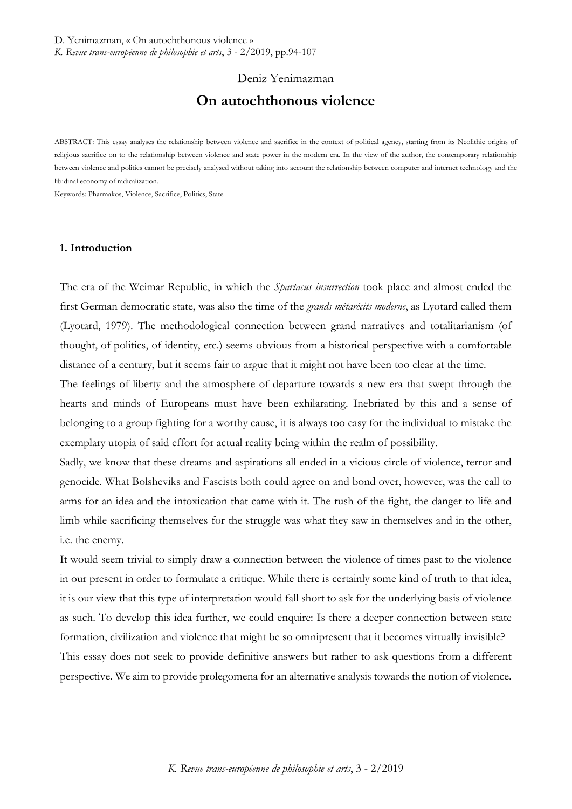# Deniz Yenimazman **On autochthonous violence**

ABSTRACT: This essay analyses the relationship between violence and sacrifice in the context of political agency, starting from its Neolithic origins of religious sacrifice on to the relationship between violence and state power in the modern era. In the view of the author, the contemporary relationship between violence and politics cannot be precisely analysed without taking into account the relationship between computer and internet technology and the libidinal economy of radicalization.

Keywords: Pharmakos, Violence, Sacrifice, Politics, State

### **1. Introduction**

The era of the Weimar Republic, in which the *Spartacus insurrection* took place and almost ended the first German democratic state, was also the time of the *grands métarécits moderne*, as Lyotard called them (Lyotard, 1979). The methodological connection between grand narratives and totalitarianism (of thought, of politics, of identity, etc.) seems obvious from a historical perspective with a comfortable distance of a century, but it seems fair to argue that it might not have been too clear at the time.

The feelings of liberty and the atmosphere of departure towards a new era that swept through the hearts and minds of Europeans must have been exhilarating. Inebriated by this and a sense of belonging to a group fighting for a worthy cause, it is always too easy for the individual to mistake the exemplary utopia of said effort for actual reality being within the realm of possibility.

Sadly, we know that these dreams and aspirations all ended in a vicious circle of violence, terror and genocide. What Bolsheviks and Fascists both could agree on and bond over, however, was the call to arms for an idea and the intoxication that came with it. The rush of the fight, the danger to life and limb while sacrificing themselves for the struggle was what they saw in themselves and in the other, i.e. the enemy.

It would seem trivial to simply draw a connection between the violence of times past to the violence in our present in order to formulate a critique. While there is certainly some kind of truth to that idea, it is our view that this type of interpretation would fall short to ask for the underlying basis of violence as such. To develop this idea further, we could enquire: Is there a deeper connection between state formation, civilization and violence that might be so omnipresent that it becomes virtually invisible? This essay does not seek to provide definitive answers but rather to ask questions from a different perspective. We aim to provide prolegomena for an alternative analysis towards the notion of violence.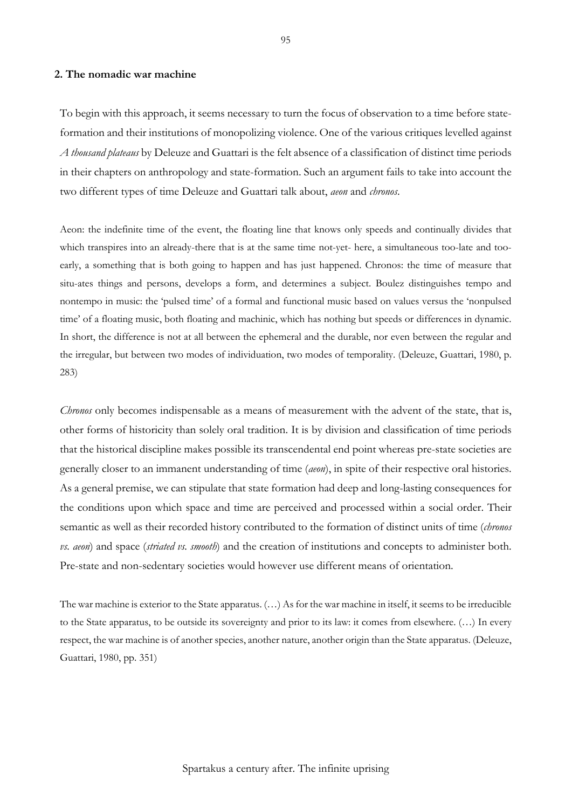# **2. The nomadic war machine**

To begin with this approach, it seems necessary to turn the focus of observation to a time before stateformation and their institutions of monopolizing violence. One of the various critiques levelled against *A thousand plateaus* by Deleuze and Guattari is the felt absence of a classification of distinct time periods in their chapters on anthropology and state-formation. Such an argument fails to take into account the two different types of time Deleuze and Guattari talk about, *aeon* and *chronos*.

Aeon: the indefinite time of the event, the floating line that knows only speeds and continually divides that which transpires into an already-there that is at the same time not-yet- here, a simultaneous too-late and tooearly, a something that is both going to happen and has just happened. Chronos: the time of measure that situ-ates things and persons, develops a form, and determines a subject. Boulez distinguishes tempo and nontempo in music: the 'pulsed time' of a formal and functional music based on values versus the 'nonpulsed time' of a floating music, both floating and machinic, which has nothing but speeds or differences in dynamic. In short, the difference is not at all between the ephemeral and the durable, nor even between the regular and the irregular, but between two modes of individuation, two modes of temporality. (Deleuze, Guattari, 1980, p. 283)

*Chronos* only becomes indispensable as a means of measurement with the advent of the state, that is, other forms of historicity than solely oral tradition. It is by division and classification of time periods that the historical discipline makes possible its transcendental end point whereas pre-state societies are generally closer to an immanent understanding of time (*aeon*), in spite of their respective oral histories. As a general premise, we can stipulate that state formation had deep and long-lasting consequences for the conditions upon which space and time are perceived and processed within a social order. Their semantic as well as their recorded history contributed to the formation of distinct units of time (*chronos vs. aeon*) and space (*striated vs. smooth*) and the creation of institutions and concepts to administer both. Pre-state and non-sedentary societies would however use different means of orientation.

The war machine is exterior to the State apparatus.  $(...)$  As for the war machine in itself, it seems to be irreducible to the State apparatus, to be outside its sovereignty and prior to its law: it comes from elsewhere. (…) In every respect, the war machine is of another species, another nature, another origin than the State apparatus. (Deleuze, Guattari, 1980, pp. 351)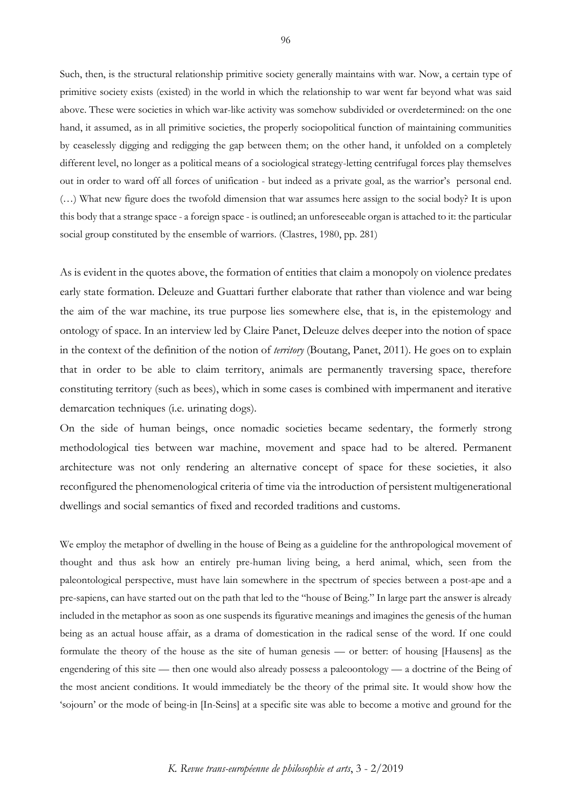Such, then, is the structural relationship primitive society generally maintains with war. Now, a certain type of primitive society exists (existed) in the world in which the relationship to war went far beyond what was said above. These were societies in which war-like activity was somehow subdivided or overdetermined: on the one hand, it assumed, as in all primitive societies, the properly sociopolitical function of maintaining communities by ceaselessly digging and redigging the gap between them; on the other hand, it unfolded on a completely different level, no longer as a political means of a sociological strategy-letting centrifugal forces play themselves out in order to ward off all forces of unification - but indeed as a private goal, as the warrior's personal end. (…) What new figure does the twofold dimension that war assumes here assign to the social body? It is upon this body that a strange space - a foreign space - is outlined; an unforeseeable organ is attached to it: the particular social group constituted by the ensemble of warriors. (Clastres, 1980, pp. 281)

As is evident in the quotes above, the formation of entities that claim a monopoly on violence predates early state formation. Deleuze and Guattari further elaborate that rather than violence and war being the aim of the war machine, its true purpose lies somewhere else, that is, in the epistemology and ontology of space. In an interview led by Claire Panet, Deleuze delves deeper into the notion of space in the context of the definition of the notion of *territory* (Boutang, Panet, 2011). He goes on to explain that in order to be able to claim territory, animals are permanently traversing space, therefore constituting territory (such as bees), which in some cases is combined with impermanent and iterative demarcation techniques (i.e. urinating dogs).

On the side of human beings, once nomadic societies became sedentary, the formerly strong methodological ties between war machine, movement and space had to be altered. Permanent architecture was not only rendering an alternative concept of space for these societies, it also reconfigured the phenomenological criteria of time via the introduction of persistent multigenerational dwellings and social semantics of fixed and recorded traditions and customs.

We employ the metaphor of dwelling in the house of Being as a guideline for the anthropological movement of thought and thus ask how an entirely pre-human living being, a herd animal, which, seen from the paleontological perspective, must have lain somewhere in the spectrum of species between a post-ape and a pre-sapiens, can have started out on the path that led to the "house of Being." In large part the answer is already included in the metaphor as soon as one suspends its figurative meanings and imagines the genesis of the human being as an actual house affair, as a drama of domestication in the radical sense of the word. If one could formulate the theory of the house as the site of human genesis — or better: of housing [Hausens] as the engendering of this site — then one would also already possess a paleoontology — a doctrine of the Being of the most ancient conditions. It would immediately be the theory of the primal site. It would show how the 'sojourn' or the mode of being-in [In-Seins] at a specific site was able to become a motive and ground for the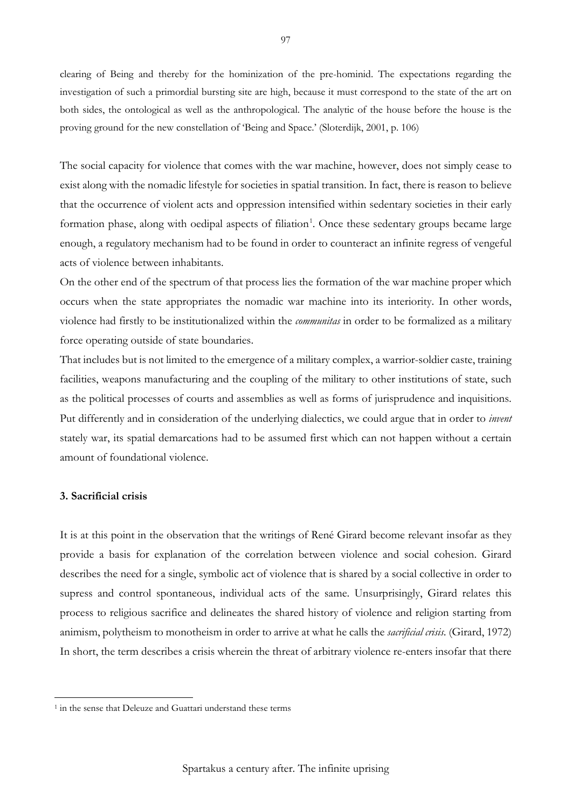clearing of Being and thereby for the hominization of the pre-hominid. The expectations regarding the investigation of such a primordial bursting site are high, because it must correspond to the state of the art on both sides, the ontological as well as the anthropological. The analytic of the house before the house is the proving ground for the new constellation of 'Being and Space.' (Sloterdijk, 2001, p. 106)

The social capacity for violence that comes with the war machine, however, does not simply cease to exist along with the nomadic lifestyle for societies in spatial transition. In fact, there is reason to believe that the occurrence of violent acts and oppression intensified within sedentary societies in their early formation phase, along with oedipal aspects of filiation<sup>[1](#page-3-0)</sup>. Once these sedentary groups became large enough, a regulatory mechanism had to be found in order to counteract an infinite regress of vengeful acts of violence between inhabitants.

On the other end of the spectrum of that process lies the formation of the war machine proper which occurs when the state appropriates the nomadic war machine into its interiority. In other words, violence had firstly to be institutionalized within the *communitas* in order to be formalized as a military force operating outside of state boundaries.

That includes but is not limited to the emergence of a military complex, a warrior-soldier caste, training facilities, weapons manufacturing and the coupling of the military to other institutions of state, such as the political processes of courts and assemblies as well as forms of jurisprudence and inquisitions. Put differently and in consideration of the underlying dialectics, we could argue that in order to *invent* stately war, its spatial demarcations had to be assumed first which can not happen without a certain amount of foundational violence.

### **3. Sacrificial crisis**

It is at this point in the observation that the writings of René Girard become relevant insofar as they provide a basis for explanation of the correlation between violence and social cohesion. Girard describes the need for a single, symbolic act of violence that is shared by a social collective in order to supress and control spontaneous, individual acts of the same. Unsurprisingly, Girard relates this process to religious sacrifice and delineates the shared history of violence and religion starting from animism, polytheism to monotheism in order to arrive at what he calls the *sacrificial crisis*. (Girard, 1972) In short, the term describes a crisis wherein the threat of arbitrary violence re-enters insofar that there

<span id="page-3-0"></span><sup>&</sup>lt;sup>1</sup> in the sense that Deleuze and Guattari understand these terms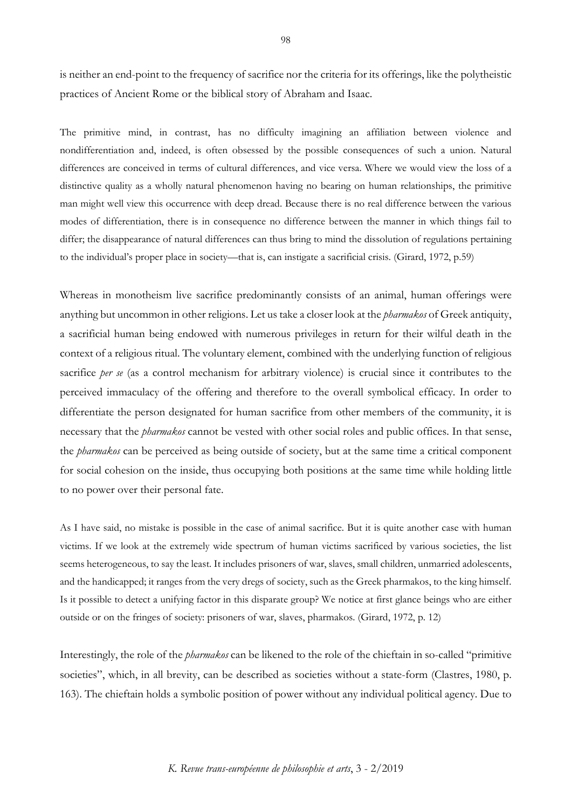is neither an end-point to the frequency of sacrifice nor the criteria for its offerings, like the polytheistic practices of Ancient Rome or the biblical story of Abraham and Isaac.

The primitive mind, in contrast, has no difficulty imagining an affiliation between violence and nondifferentiation and, indeed, is often obsessed by the possible consequences of such a union. Natural differences are conceived in terms of cultural differences, and vice versa. Where we would view the loss of a distinctive quality as a wholly natural phenomenon having no bearing on human relationships, the primitive man might well view this occurrence with deep dread. Because there is no real difference between the various modes of differentiation, there is in consequence no difference between the manner in which things fail to differ; the disappearance of natural differences can thus bring to mind the dissolution of regulations pertaining to the individual's proper place in society—that is, can instigate a sacrificial crisis. (Girard, 1972, p.59)

Whereas in monotheism live sacrifice predominantly consists of an animal, human offerings were anything but uncommon in other religions. Let us take a closer look at the *pharmakos* of Greek antiquity, a sacrificial human being endowed with numerous privileges in return for their wilful death in the context of a religious ritual. The voluntary element, combined with the underlying function of religious sacrifice *per se* (as a control mechanism for arbitrary violence) is crucial since it contributes to the perceived immaculacy of the offering and therefore to the overall symbolical efficacy. In order to differentiate the person designated for human sacrifice from other members of the community, it is necessary that the *pharmakos* cannot be vested with other social roles and public offices. In that sense, the *pharmakos* can be perceived as being outside of society, but at the same time a critical component for social cohesion on the inside, thus occupying both positions at the same time while holding little to no power over their personal fate.

As I have said, no mistake is possible in the case of animal sacrifice. But it is quite another case with human victims. If we look at the extremely wide spectrum of human victims sacrificed by various societies, the list seems heterogeneous, to say the least. It includes prisoners of war, slaves, small children, unmarried adolescents, and the handicapped; it ranges from the very dregs of society, such as the Greek pharmakos, to the king himself. Is it possible to detect a unifying factor in this disparate group? We notice at first glance beings who are either outside or on the fringes of society: prisoners of war, slaves, pharmakos. (Girard, 1972, p. 12)

Interestingly, the role of the *pharmakos* can be likened to the role of the chieftain in so-called "primitive societies", which, in all brevity, can be described as societies without a state-form (Clastres, 1980, p. 163). The chieftain holds a symbolic position of power without any individual political agency. Due to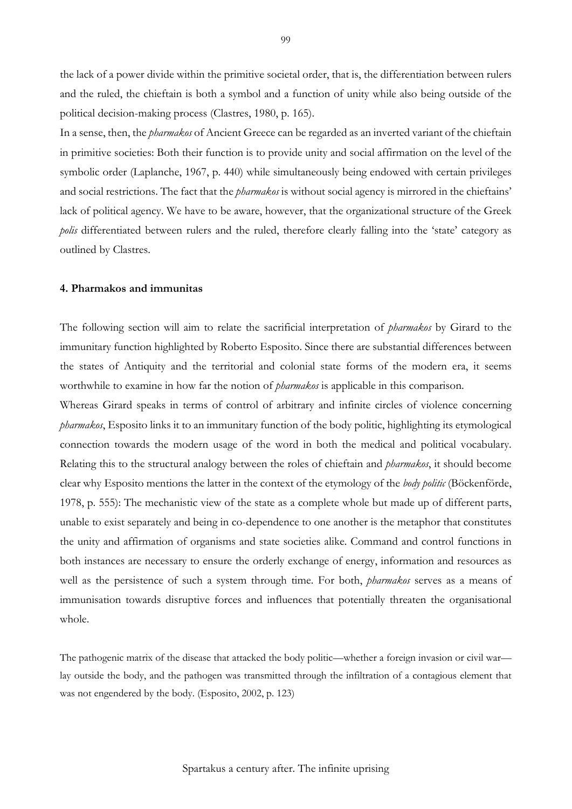the lack of a power divide within the primitive societal order, that is, the differentiation between rulers and the ruled, the chieftain is both a symbol and a function of unity while also being outside of the political decision-making process (Clastres, 1980, p. 165).

In a sense, then, the *pharmakos* of Ancient Greece can be regarded as an inverted variant of the chieftain in primitive societies: Both their function is to provide unity and social affirmation on the level of the symbolic order (Laplanche, 1967, p. 440) while simultaneously being endowed with certain privileges and social restrictions. The fact that the *pharmakos* is without social agency is mirrored in the chieftains' lack of political agency. We have to be aware, however, that the organizational structure of the Greek *polis* differentiated between rulers and the ruled, therefore clearly falling into the 'state' category as outlined by Clastres.

# **4. Pharmakos and immunitas**

The following section will aim to relate the sacrificial interpretation of *pharmakos* by Girard to the immunitary function highlighted by Roberto Esposito. Since there are substantial differences between the states of Antiquity and the territorial and colonial state forms of the modern era, it seems worthwhile to examine in how far the notion of *pharmakos* is applicable in this comparison.

Whereas Girard speaks in terms of control of arbitrary and infinite circles of violence concerning *pharmakos*, Esposito links it to an immunitary function of the body politic, highlighting its etymological connection towards the modern usage of the word in both the medical and political vocabulary. Relating this to the structural analogy between the roles of chieftain and *pharmakos*, it should become clear why Esposito mentions the latter in the context of the etymology of the *body politic* (Böckenförde, 1978, p. 555): The mechanistic view of the state as a complete whole but made up of different parts, unable to exist separately and being in co-dependence to one another is the metaphor that constitutes the unity and affirmation of organisms and state societies alike. Command and control functions in both instances are necessary to ensure the orderly exchange of energy, information and resources as well as the persistence of such a system through time. For both, *pharmakos* serves as a means of immunisation towards disruptive forces and influences that potentially threaten the organisational whole.

The pathogenic matrix of the disease that attacked the body politic—whether a foreign invasion or civil war lay outside the body, and the pathogen was transmitted through the infiltration of a contagious element that was not engendered by the body. (Esposito, 2002, p. 123)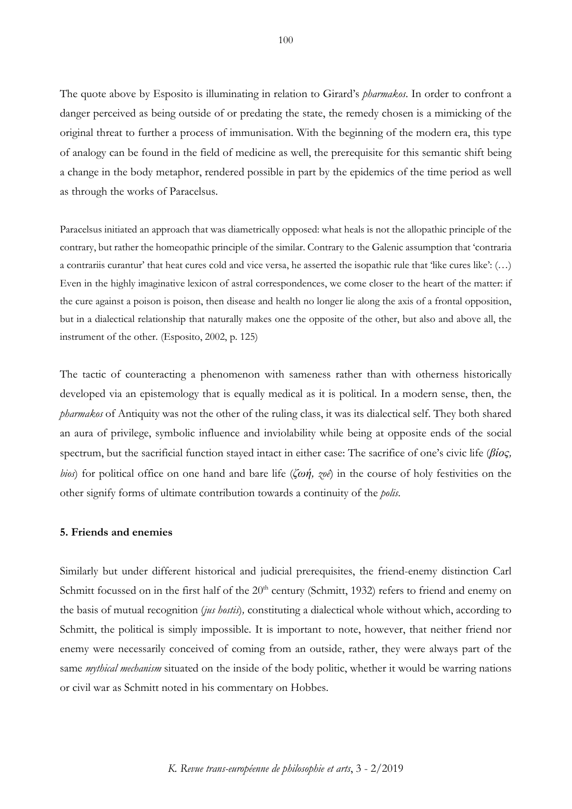The quote above by Esposito is illuminating in relation to Girard's *pharmakos*. In order to confront a danger perceived as being outside of or predating the state, the remedy chosen is a mimicking of the original threat to further a process of immunisation. With the beginning of the modern era, this type of analogy can be found in the field of medicine as well, the prerequisite for this semantic shift being a change in the body metaphor, rendered possible in part by the epidemics of the time period as well as through the works of Paracelsus.

Paracelsus initiated an approach that was diametrically opposed: what heals is not the allopathic principle of the contrary, but rather the homeopathic principle of the similar. Contrary to the Galenic assumption that 'contraria a contrariis curantur' that heat cures cold and vice versa, he asserted the isopathic rule that 'like cures like': (…) Even in the highly imaginative lexicon of astral correspondences, we come closer to the heart of the matter: if the cure against a poison is poison, then disease and health no longer lie along the axis of a frontal opposition, but in a dialectical relationship that naturally makes one the opposite of the other, but also and above all, the instrument of the other. (Esposito, 2002, p. 125)

The tactic of counteracting a phenomenon with sameness rather than with otherness historically developed via an epistemology that is equally medical as it is political. In a modern sense, then, the *pharmakos* of Antiquity was not the other of the ruling class, it was its dialectical self. They both shared an aura of privilege, symbolic influence and inviolability while being at opposite ends of the social spectrum, but the sacrificial function stayed intact in either case: The sacrifice of one's civic life (*βίος, bios*) for political office on one hand and bare life (*ζωή, zoê*) in the course of holy festivities on the other signify forms of ultimate contribution towards a continuity of the *polis*.

# **5. Friends and enemies**

Similarly but under different historical and judicial prerequisites, the friend-enemy distinction Carl Schmitt focussed on in the first half of the 20<sup>th</sup> century (Schmitt, 1932) refers to friend and enemy on the basis of mutual recognition (*jus hostis*)*,* constituting a dialectical whole without which, according to Schmitt, the political is simply impossible. It is important to note, however, that neither friend nor enemy were necessarily conceived of coming from an outside, rather, they were always part of the same *mythical mechanism* situated on the inside of the body politic, whether it would be warring nations or civil war as Schmitt noted in his commentary on Hobbes.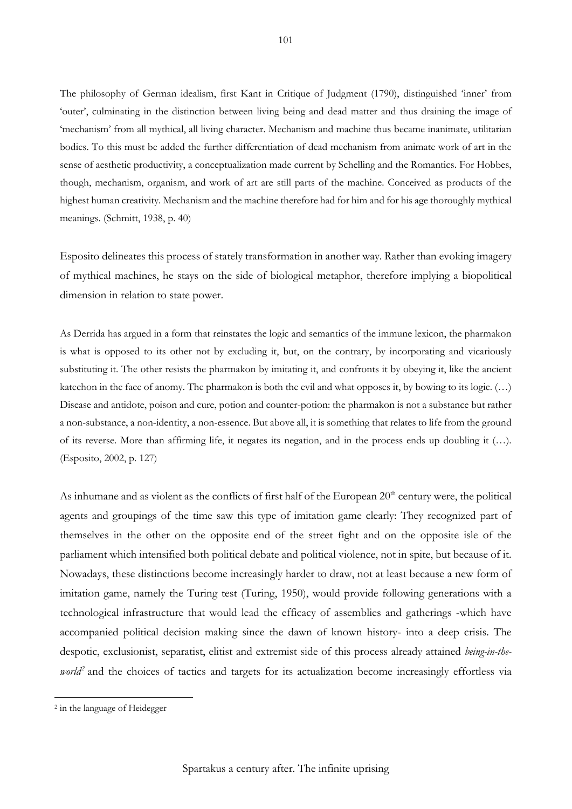The philosophy of German idealism, first Kant in Critique of Judgment (1790), distinguished 'inner' from 'outer', culminating in the distinction between living being and dead matter and thus draining the image of 'mechanism' from all mythical, all living character. Mechanism and machine thus became inanimate, utilitarian bodies. To this must be added the further differentiation of dead mechanism from animate work of art in the sense of aesthetic productivity, a conceptualization made current by Schelling and the Romantics. For Hobbes, though, mechanism, organism, and work of art are still parts of the machine. Conceived as products of the highest human creativity. Mechanism and the machine therefore had for him and for his age thoroughly mythical meanings. (Schmitt, 1938, p. 40)

Esposito delineates this process of stately transformation in another way. Rather than evoking imagery of mythical machines, he stays on the side of biological metaphor, therefore implying a biopolitical dimension in relation to state power.

As Derrida has argued in a form that reinstates the logic and semantics of the immune lexicon, the pharmakon is what is opposed to its other not by excluding it, but, on the contrary, by incorporating and vicariously substituting it. The other resists the pharmakon by imitating it, and confronts it by obeying it, like the ancient katechon in the face of anomy. The pharmakon is both the evil and what opposes it, by bowing to its logic. (…) Disease and antidote, poison and cure, potion and counter-potion: the pharmakon is not a substance but rather a non-substance, a non-identity, a non-essence. But above all, it is something that relates to life from the ground of its reverse. More than affirming life, it negates its negation, and in the process ends up doubling it (…). (Esposito, 2002, p. 127)

As inhumane and as violent as the conflicts of first half of the European  $20<sup>th</sup>$  century were, the political agents and groupings of the time saw this type of imitation game clearly: They recognized part of themselves in the other on the opposite end of the street fight and on the opposite isle of the parliament which intensified both political debate and political violence, not in spite, but because of it. Nowadays, these distinctions become increasingly harder to draw, not at least because a new form of imitation game, namely the Turing test (Turing, 1950), would provide following generations with a technological infrastructure that would lead the efficacy of assemblies and gatherings -which have accompanied political decision making since the dawn of known history- into a deep crisis. The despotic, exclusionist, separatist, elitist and extremist side of this process already attained *being-in-theworld*<sup>[2](#page-7-0)</sup> and the choices of tactics and targets for its actualization become increasingly effortless via

<span id="page-7-0"></span><sup>2</sup> in the language of Heidegger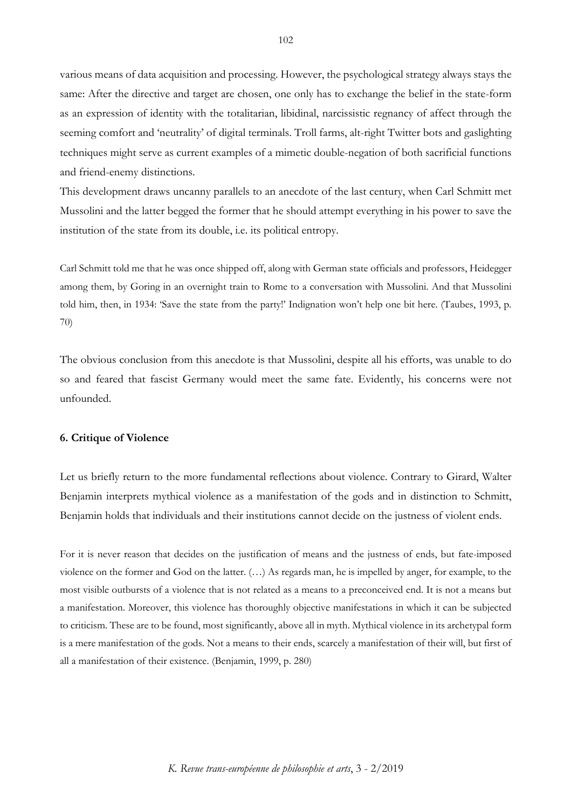various means of data acquisition and processing. However, the psychological strategy always stays the same: After the directive and target are chosen, one only has to exchange the belief in the state-form as an expression of identity with the totalitarian, libidinal, narcissistic regnancy of affect through the seeming comfort and 'neutrality' of digital terminals. Troll farms, alt-right Twitter bots and gaslighting techniques might serve as current examples of a mimetic double-negation of both sacrificial functions and friend-enemy distinctions.

This development draws uncanny parallels to an anecdote of the last century, when Carl Schmitt met Mussolini and the latter begged the former that he should attempt everything in his power to save the institution of the state from its double, i.e. its political entropy.

Carl Schmitt told me that he was once shipped off, along with German state officials and professors, Heidegger among them, by Goring in an overnight train to Rome to a conversation with Mussolini. And that Mussolini told him, then, in 1934: 'Save the state from the party!' Indignation won't help one bit here. (Taubes, 1993, p. 70)

The obvious conclusion from this anecdote is that Mussolini, despite all his efforts, was unable to do so and feared that fascist Germany would meet the same fate. Evidently, his concerns were not unfounded.

#### **6. Critique of Violence**

Let us briefly return to the more fundamental reflections about violence. Contrary to Girard, Walter Benjamin interprets mythical violence as a manifestation of the gods and in distinction to Schmitt, Benjamin holds that individuals and their institutions cannot decide on the justness of violent ends.

For it is never reason that decides on the justification of means and the justness of ends, but fate-imposed violence on the former and God on the latter. (…) As regards man, he is impelled by anger, for example, to the most visible outbursts of a violence that is not related as a means to a preconceived end. It is not a means but a manifestation. Moreover, this violence has thoroughly objective manifestations in which it can be subjected to criticism. These are to be found, most significantly, above all in myth. Mythical violence in its archetypal form is a mere manifestation of the gods. Not a means to their ends, scarcely a manifestation of their will, but first of all a manifestation of their existence. (Benjamin, 1999, p. 280)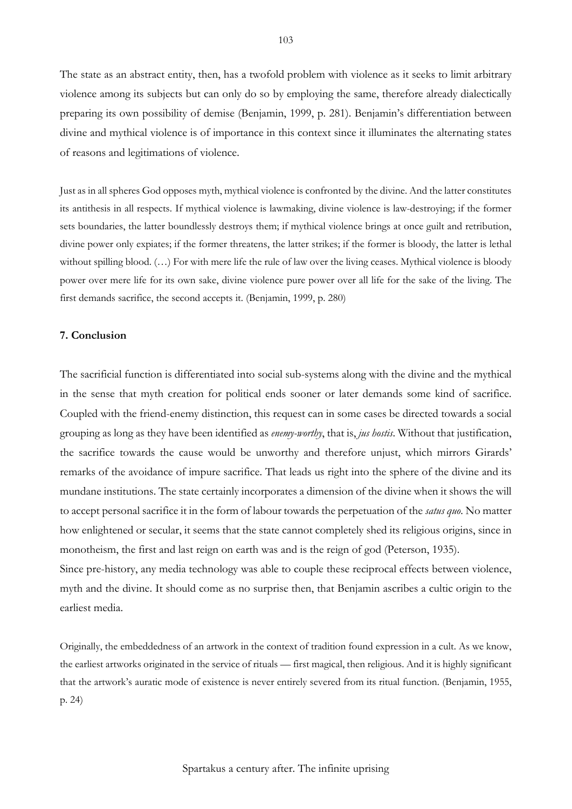The state as an abstract entity, then, has a twofold problem with violence as it seeks to limit arbitrary violence among its subjects but can only do so by employing the same, therefore already dialectically preparing its own possibility of demise (Benjamin, 1999, p. 281). Benjamin's differentiation between divine and mythical violence is of importance in this context since it illuminates the alternating states of reasons and legitimations of violence.

Just as in all spheres God opposes myth, mythical violence is confronted by the divine. And the latter constitutes its antithesis in all respects. If mythical violence is lawmaking, divine violence is law-destroying; if the former sets boundaries, the latter boundlessly destroys them; if mythical violence brings at once guilt and retribution, divine power only expiates; if the former threatens, the latter strikes; if the former is bloody, the latter is lethal without spilling blood. (…) For with mere life the rule of law over the living ceases. Mythical violence is bloody power over mere life for its own sake, divine violence pure power over all life for the sake of the living. The first demands sacrifice, the second accepts it. (Benjamin, 1999, p. 280)

# **7. Conclusion**

The sacrificial function is differentiated into social sub-systems along with the divine and the mythical in the sense that myth creation for political ends sooner or later demands some kind of sacrifice. Coupled with the friend-enemy distinction, this request can in some cases be directed towards a social grouping as long as they have been identified as *enemy-worthy*, that is, *jus hostis*. Without that justification, the sacrifice towards the cause would be unworthy and therefore unjust, which mirrors Girards' remarks of the avoidance of impure sacrifice. That leads us right into the sphere of the divine and its mundane institutions. The state certainly incorporates a dimension of the divine when it shows the will to accept personal sacrifice it in the form of labour towards the perpetuation of the *satus quo*. No matter how enlightened or secular, it seems that the state cannot completely shed its religious origins, since in monotheism, the first and last reign on earth was and is the reign of god (Peterson, 1935).

Since pre-history, any media technology was able to couple these reciprocal effects between violence, myth and the divine. It should come as no surprise then, that Benjamin ascribes a cultic origin to the earliest media.

Originally, the embeddedness of an artwork in the context of tradition found expression in a cult. As we know, the earliest artworks originated in the service of rituals — first magical, then religious. And it is highly significant that the artwork's auratic mode of existence is never entirely severed from its ritual function. (Benjamin, 1955, p. 24)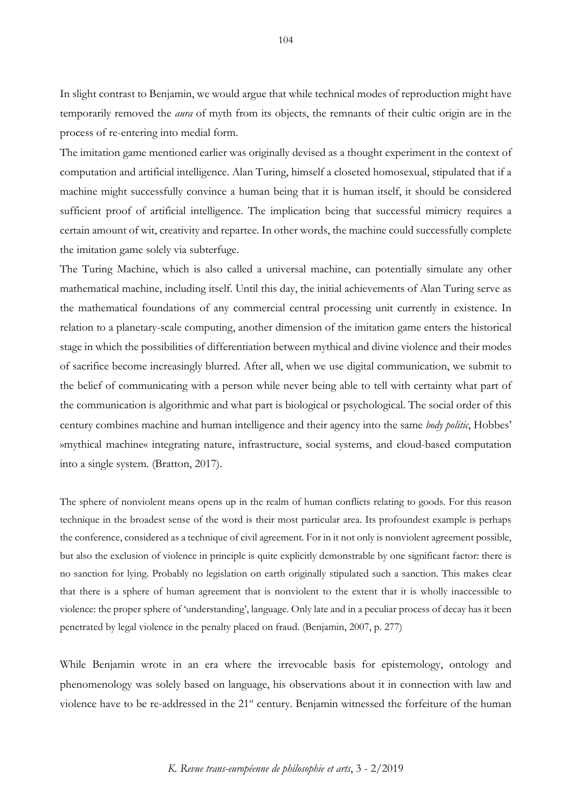In slight contrast to Benjamin, we would argue that while technical modes of reproduction might have temporarily removed the *aura* of myth from its objects, the remnants of their cultic origin are in the process of re-entering into medial form.

The imitation game mentioned earlier was originally devised as a thought experiment in the context of computation and artificial intelligence. Alan Turing, himself a closeted homosexual, stipulated that if a machine might successfully convince a human being that it is human itself, it should be considered sufficient proof of artificial intelligence. The implication being that successful mimicry requires a certain amount of wit, creativity and repartee. In other words, the machine could successfully complete the imitation game solely via subterfuge.

The Turing Machine, which is also called a universal machine, can potentially simulate any other mathematical machine, including itself. Until this day, the initial achievements of Alan Turing serve as the mathematical foundations of any commercial central processing unit currently in existence. In relation to a planetary-scale computing, another dimension of the imitation game enters the historical stage in which the possibilities of differentiation between mythical and divine violence and their modes of sacrifice become increasingly blurred. After all, when we use digital communication, we submit to the belief of communicating with a person while never being able to tell with certainty what part of the communication is algorithmic and what part is biological or psychological. The social order of this century combines machine and human intelligence and their agency into the same *body politic*, Hobbes' »mythical machine« integrating nature, infrastructure, social systems, and cloud-based computation into a single system. (Bratton, 2017).

The sphere of nonviolent means opens up in the realm of human conflicts relating to goods. For this reason technique in the broadest sense of the word is their most particular area. Its profoundest example is perhaps the conference, considered as a technique of civil agreement. For in it not only is nonviolent agreement possible, but also the exclusion of violence in principle is quite explicitly demonstrable by one significant factor: there is no sanction for lying. Probably no legislation on earth originally stipulated such a sanction. This makes clear that there is a sphere of human agreement that is nonviolent to the extent that it is wholly inaccessible to violence: the proper sphere of 'understanding', language. Only late and in a peculiar process of decay has it been penetrated by legal violence in the penalty placed on fraud. (Benjamin, 2007, p. 277)

While Benjamin wrote in an era where the irrevocable basis for epistemology, ontology and phenomenology was solely based on language, his observations about it in connection with law and violence have to be re-addressed in the 21<sup>st</sup> century. Benjamin witnessed the forfeiture of the human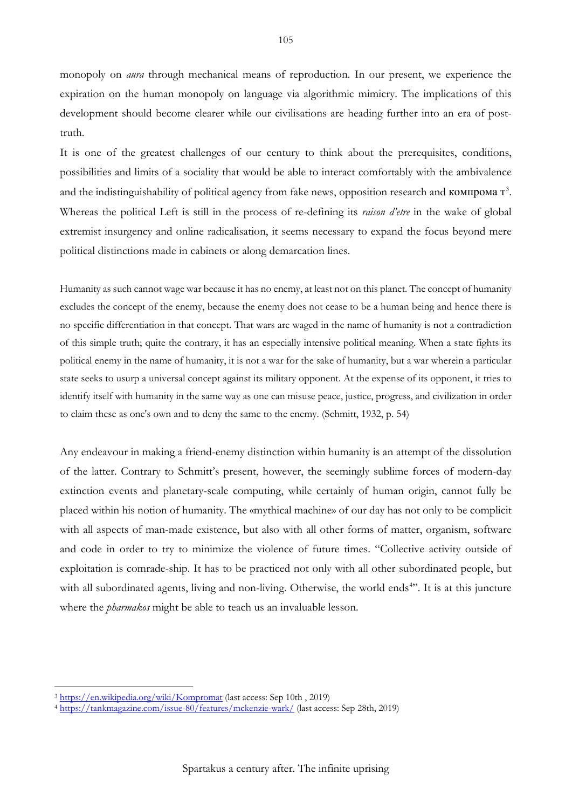monopoly on *aura* through mechanical means of reproduction. In our present, we experience the expiration on the human monopoly on language via algorithmic mimicry. The implications of this development should become clearer while our civilisations are heading further into an era of posttruth.

It is one of the greatest challenges of our century to think about the prerequisites, conditions, possibilities and limits of a sociality that would be able to interact comfortably with the ambivalence and the indistinguishability of political agency from fake news, opposition research and  $KOMI$  rangemental  $T^3$  $T^3$ . Whereas the political Left is still in the process of re-defining its *raison d'etre* in the wake of global extremist insurgency and online radicalisation, it seems necessary to expand the focus beyond mere political distinctions made in cabinets or along demarcation lines.

Humanity as such cannot wage war because it has no enemy, at least not on this planet. The concept of humanity excludes the concept of the enemy, because the enemy does not cease to be a human being and hence there is no specific differentiation in that concept. That wars are waged in the name of humanity is not a contradiction of this simple truth; quite the contrary, it has an especially intensive political meaning. When a state fights its political enemy in the name of humanity, it is not a war for the sake of humanity, but a war wherein a particular state seeks to usurp a universal concept against its military opponent. At the expense of its opponent, it tries to identify itself with humanity in the same way as one can misuse peace, justice, progress, and civilization in order to claim these as one's own and to deny the same to the enemy. (Schmitt, 1932, p. 54)

Any endeavour in making a friend-enemy distinction within humanity is an attempt of the dissolution of the latter. Contrary to Schmitt's present, however, the seemingly sublime forces of modern-day extinction events and planetary-scale computing, while certainly of human origin, cannot fully be placed within his notion of humanity. The «mythical machine» of our day has not only to be complicit with all aspects of man-made existence, but also with all other forms of matter, organism, software and code in order to try to minimize the violence of future times. "Collective activity outside of exploitation is comrade-ship. It has to be practiced not only with all other subordinated people, but with all subordinated agents, living and non-living. Otherwise, the world ends<sup>[4](#page-11-1)</sup>". It is at this juncture where the *pharmakos* might be able to teach us an invaluable lesson.

<span id="page-11-1"></span><span id="page-11-0"></span><sup>3</sup> https://en.wikipedia.org/wiki/Kompromat (last access: Sep 10th , 2019) 4 <https://tankmagazine.com/issue-80/features/mckenzie-wark/> (last access: Sep 28th, 2019)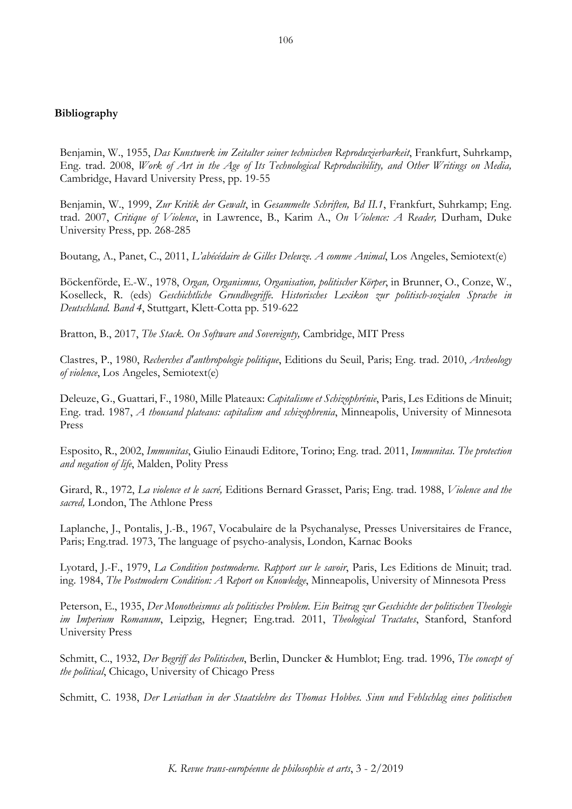# **Bibliography**

Benjamin, W., 1955, *Das Kunstwerk im Zeitalter seiner technischen Reproduzierbarkeit*, Frankfurt, Suhrkamp, Eng. trad. 2008, *Work of Art in the Age of Its Technological Reproducibility, and Other Writings on Media,*  Cambridge, Havard University Press, pp. 19-55

Benjamin, W., 1999, *Zur Kritik der Gewalt*, in *Gesammelte Schriften, Bd II.1*, Frankfurt, Suhrkamp; Eng. trad. 2007, *Critique of Violence*, in Lawrence, B., Karim A., *On Violence: A Reader,* Durham, Duke University Press, pp. 268-285

Boutang, A., Panet, C., 2011, *L'abécédaire de Gilles Deleuze. A comme Animal*, Los Angeles, Semiotext(e)

Böckenförde, E.-W., 1978, *Organ, Organismus, Organisation, politischer Körper*, in Brunner, O., Conze, W., Koselleck, R. (eds) *Geschichtliche Grundbegriffe. Historisches Lexikon zur politisch-sozialen Sprache in Deutschland. Band 4*, Stuttgart, Klett-Cotta pp. 519-622

Bratton, B., 2017, *The Stack. On Software and Sovereignty,* Cambridge, MIT Press

Clastres, P., 1980, *Recherches d'anthropologie politique*, Editions du Seuil, Paris; Eng. trad. 2010, *Archeology of violence*, Los Angeles, Semiotext(e)

Deleuze, G., Guattari, F., 1980, Mille Plateaux: *Capitalisme et Schizophrénie*, Paris, Les Editions de Minuit; Eng. trad. 1987, *A thousand plateaus: capitalism and schizophrenia*, Minneapolis, University of Minnesota Press

Esposito, R., 2002, *Immunitas*, Giulio Einaudi Editore, Torino; Eng. trad. 2011, *Immunitas. The protection and negation of life*, Malden, Polity Press

Girard, R., 1972, *La violence et le sacré,* Editions Bernard Grasset, Paris; Eng. trad. 1988, *Violence and the sacred,* London, The Athlone Press

Laplanche, J., Pontalis, J.-B., 1967, Vocabulaire de la Psychanalyse, Presses Universitaires de France, Paris; Eng.trad. 1973, The language of psycho-analysis, London, Karnac Books

Lyotard, J.-F., 1979, *La Condition postmoderne. Rapport sur le savoir*, Paris, Les Editions de Minuit; trad. ing. 1984, *The Postmodern Condition: A Report on Knowledge*, Minneapolis, University of Minnesota Press

Peterson, E., 1935, *Der Monotheismus als politisches Problem. Ein Beitrag zur Geschichte der politischen Theologie im Imperium Romanum*, Leipzig, Hegner; Eng.trad. 2011, *Theological Tractates*, Stanford, Stanford University Press

Schmitt, C., 1932, *Der Begriff des Politischen*, Berlin, Duncker & Humblot; Eng. trad. 1996, *The concept of the political*, Chicago, University of Chicago Press

Schmitt, C. 1938, *Der Leviathan in der Staatslehre des Thomas Hobbes. Sinn und Fehlschlag eines politischen*